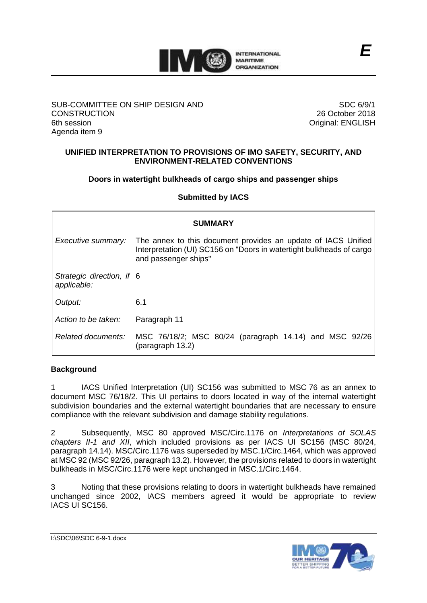

#### SUB-COMMITTEE ON SHIP DESIGN AND **CONSTRUCTION** 6th session Agenda item 9

SDC 6/9/1 26 October 2018 Original: ENGLISH

### **UNIFIED INTERPRETATION TO PROVISIONS OF IMO SAFETY, SECURITY, AND ENVIRONMENT-RELATED CONVENTIONS**

**Doors in watertight bulkheads of cargo ships and passenger ships**

**Submitted by IACS**

| <b>SUMMARY</b>                           |                                                                                                                                                               |  |  |  |  |  |  |
|------------------------------------------|---------------------------------------------------------------------------------------------------------------------------------------------------------------|--|--|--|--|--|--|
| Executive summary:                       | The annex to this document provides an update of IACS Unified<br>Interpretation (UI) SC156 on "Doors in watertight bulkheads of cargo<br>and passenger ships" |  |  |  |  |  |  |
| Strategic direction, if 6<br>applicable: |                                                                                                                                                               |  |  |  |  |  |  |
| Output:                                  | 6.1                                                                                                                                                           |  |  |  |  |  |  |
| Action to be taken:                      | Paragraph 11                                                                                                                                                  |  |  |  |  |  |  |
| Related documents:                       | MSC 76/18/2; MSC 80/24 (paragraph 14.14) and MSC 92/26<br>(paragraph 13.2)                                                                                    |  |  |  |  |  |  |

# **Background**

1 IACS Unified Interpretation (UI) SC156 was submitted to MSC 76 as an annex to document MSC 76/18/2. This UI pertains to doors located in way of the internal watertight subdivision boundaries and the external watertight boundaries that are necessary to ensure compliance with the relevant subdivision and damage stability regulations.

2 Subsequently, MSC 80 approved MSC/Circ.1176 on *Interpretations of SOLAS chapters II-1 and XII*, which included provisions as per IACS UI SC156 (MSC 80/24, paragraph 14.14). MSC/Circ.1176 was superseded by MSC.1/Circ.1464, which was approved at MSC 92 (MSC 92/26, paragraph 13.2). However, the provisions related to doors in watertight bulkheads in MSC/Circ.1176 were kept unchanged in MSC.1/Circ.1464.

3 Noting that these provisions relating to doors in watertight bulkheads have remained unchanged since 2002, IACS members agreed it would be appropriate to review IACS UI SC156.

I:\SDC\06\SDC 6-9-1.docx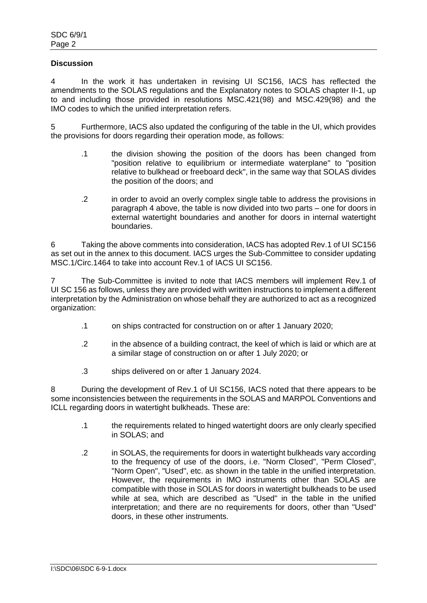#### **Discussion**

4 In the work it has undertaken in revising UI SC156, IACS has reflected the amendments to the SOLAS regulations and the Explanatory notes to SOLAS chapter II-1, up to and including those provided in resolutions MSC.421(98) and MSC.429(98) and the IMO codes to which the unified interpretation refers.

5 Furthermore, IACS also updated the configuring of the table in the UI, which provides the provisions for doors regarding their operation mode, as follows:

- .1 the division showing the position of the doors has been changed from "position relative to equilibrium or intermediate waterplane" to "position relative to bulkhead or freeboard deck", in the same way that SOLAS divides the position of the doors; and
- .2 in order to avoid an overly complex single table to address the provisions in paragraph 4 above, the table is now divided into two parts – one for doors in external watertight boundaries and another for doors in internal watertight boundaries.

6 Taking the above comments into consideration, IACS has adopted Rev.1 of UI SC156 as set out in the annex to this document. IACS urges the Sub-Committee to consider updating MSC.1/Circ.1464 to take into account Rev.1 of IACS UI SC156.

7 The Sub-Committee is invited to note that IACS members will implement Rev.1 of UI SC 156 as follows, unless they are provided with written instructions to implement a different interpretation by the Administration on whose behalf they are authorized to act as a recognized organization:

- .1 on ships contracted for construction on or after 1 January 2020;
- .2 in the absence of a building contract, the keel of which is laid or which are at a similar stage of construction on or after 1 July 2020; or
- .3 ships delivered on or after 1 January 2024.

8 During the development of Rev.1 of UI SC156, IACS noted that there appears to be some inconsistencies between the requirements in the SOLAS and MARPOL Conventions and ICLL regarding doors in watertight bulkheads. These are:

- .1 the requirements related to hinged watertight doors are only clearly specified in SOLAS; and
- .2 in SOLAS, the requirements for doors in watertight bulkheads vary according to the frequency of use of the doors, i.e. "Norm Closed", "Perm Closed", "Norm Open", "Used", etc. as shown in the table in the unified interpretation. However, the requirements in IMO instruments other than SOLAS are compatible with those in SOLAS for doors in watertight bulkheads to be used while at sea, which are described as "Used" in the table in the unified interpretation; and there are no requirements for doors, other than "Used" doors, in these other instruments.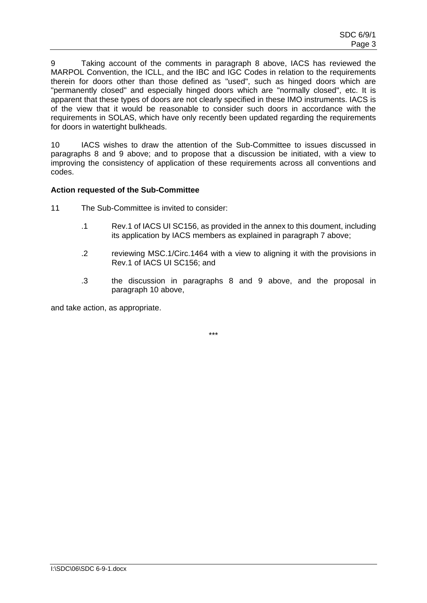9 Taking account of the comments in paragraph 8 above, IACS has reviewed the MARPOL Convention, the ICLL, and the IBC and IGC Codes in relation to the requirements therein for doors other than those defined as "used", such as hinged doors which are "permanently closed" and especially hinged doors which are "normally closed", etc. It is apparent that these types of doors are not clearly specified in these IMO instruments. IACS is of the view that it would be reasonable to consider such doors in accordance with the requirements in SOLAS, which have only recently been updated regarding the requirements for doors in watertight bulkheads.

10 IACS wishes to draw the attention of the Sub-Committee to issues discussed in paragraphs 8 and 9 above; and to propose that a discussion be initiated, with a view to improving the consistency of application of these requirements across all conventions and codes.

#### **Action requested of the Sub-Committee**

- 11 The Sub-Committee is invited to consider:
	- .1 Rev.1 of IACS UI SC156, as provided in the annex to this doument, including its application by IACS members as explained in paragraph 7 above;
	- .2 reviewing MSC.1/Circ.1464 with a view to aligning it with the provisions in Rev.1 of IACS UI SC156; and
	- .3 the discussion in paragraphs 8 and 9 above, and the proposal in paragraph 10 above,

and take action, as appropriate.

\*\*\*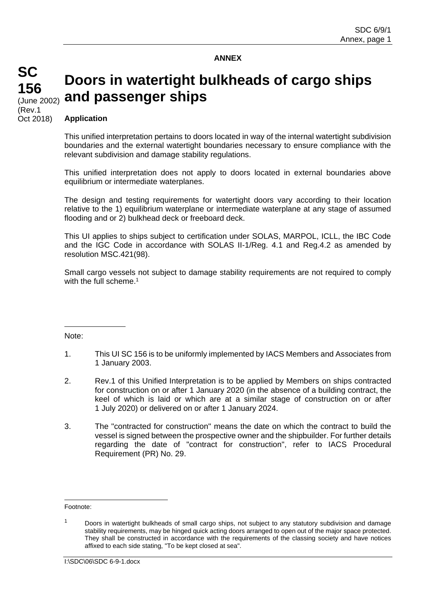#### **ANNEX**

# (June 2002) **Doors in watertight bulkheads of cargo ships and passenger ships**

**Application**

**SC**

**156**

(Rev.1 Oct 2018)

> This unified interpretation pertains to doors located in way of the internal watertight subdivision boundaries and the external watertight boundaries necessary to ensure compliance with the relevant subdivision and damage stability regulations.

> This unified interpretation does not apply to doors located in external boundaries above equilibrium or intermediate waterplanes.

> The design and testing requirements for watertight doors vary according to their location relative to the 1) equilibrium waterplane or intermediate waterplane at any stage of assumed flooding and or 2) bulkhead deck or freeboard deck.

> This UI applies to ships subject to certification under SOLAS, MARPOL, ICLL, the IBC Code and the IGC Code in accordance with SOLAS II-1/Reg. 4.1 and Reg.4.2 as amended by resolution MSC.421(98).

> Small cargo vessels not subject to damage stability requirements are not required to comply with the full scheme. 1

Note:

- 1. This UI SC 156 is to be uniformly implemented by IACS Members and Associates from 1 January 2003.
- 2. Rev.1 of this Unified Interpretation is to be applied by Members on ships contracted for construction on or after 1 January 2020 (in the absence of a building contract, the keel of which is laid or which are at a similar stage of construction on or after 1 July 2020) or delivered on or after 1 January 2024.
- 3. The "contracted for construction" means the date on which the contract to build the vessel is signed between the prospective owner and the shipbuilder. For further details regarding the date of "contract for construction", refer to IACS Procedural Requirement (PR) No. 29.

Footnote:

<sup>&</sup>lt;sup>1</sup> Doors in watertight bulkheads of small cargo ships, not subject to any statutory subdivision and damage stability requirements, may be hinged quick acting doors arranged to open out of the major space protected. They shall be constructed in accordance with the requirements of the classing society and have notices affixed to each side stating, "To be kept closed at sea".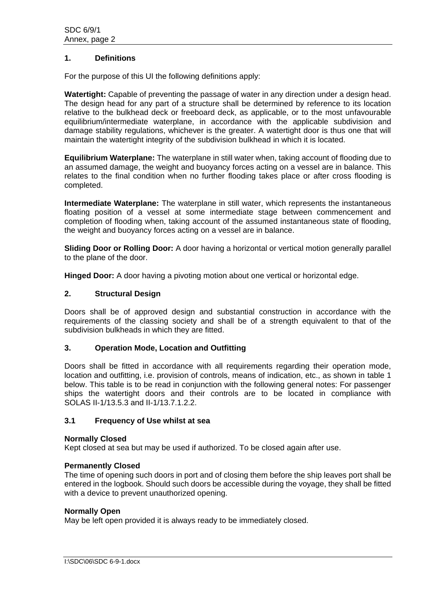#### **1. Definitions**

For the purpose of this UI the following definitions apply:

**Watertight:** Capable of preventing the passage of water in any direction under a design head. The design head for any part of a structure shall be determined by reference to its location relative to the bulkhead deck or freeboard deck, as applicable, or to the most unfavourable equilibrium/intermediate waterplane, in accordance with the applicable subdivision and damage stability regulations, whichever is the greater. A watertight door is thus one that will maintain the watertight integrity of the subdivision bulkhead in which it is located.

**Equilibrium Waterplane:** The waterplane in still water when, taking account of flooding due to an assumed damage, the weight and buoyancy forces acting on a vessel are in balance. This relates to the final condition when no further flooding takes place or after cross flooding is completed.

**Intermediate Waterplane:** The waterplane in still water, which represents the instantaneous floating position of a vessel at some intermediate stage between commencement and completion of flooding when, taking account of the assumed instantaneous state of flooding, the weight and buoyancy forces acting on a vessel are in balance.

**Sliding Door or Rolling Door:** A door having a horizontal or vertical motion generally parallel to the plane of the door.

**Hinged Door:** A door having a pivoting motion about one vertical or horizontal edge.

### **2. Structural Design**

Doors shall be of approved design and substantial construction in accordance with the requirements of the classing society and shall be of a strength equivalent to that of the subdivision bulkheads in which they are fitted.

#### **3. Operation Mode, Location and Outfitting**

Doors shall be fitted in accordance with all requirements regarding their operation mode, location and outfitting, i.e. provision of controls, means of indication, etc., as shown in table 1 below. This table is to be read in conjunction with the following general notes: For passenger ships the watertight doors and their controls are to be located in compliance with SOLAS II-1/13.5.3 and II-1/13.7.1.2.2.

#### **3.1 Frequency of Use whilst at sea**

#### **Normally Closed**

Kept closed at sea but may be used if authorized. To be closed again after use.

#### **Permanently Closed**

The time of opening such doors in port and of closing them before the ship leaves port shall be entered in the logbook. Should such doors be accessible during the voyage, they shall be fitted with a device to prevent unauthorized opening.

#### **Normally Open**

May be left open provided it is always ready to be immediately closed.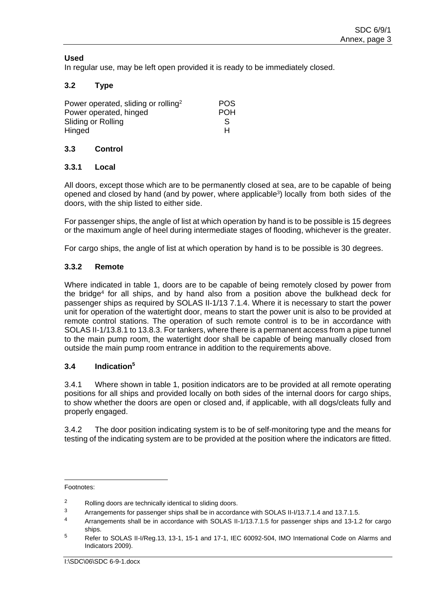### **Used**

In regular use, may be left open provided it is ready to be immediately closed.

## **3.2 Type**

| Power operated, sliding or rolling <sup>2</sup> | <b>POS</b> |
|-------------------------------------------------|------------|
| Power operated, hinged                          | <b>POH</b> |
| Sliding or Rolling                              | S          |
| Hinged                                          | н          |

#### **3.3 Control**

### **3.3.1 Local**

All doors, except those which are to be permanently closed at sea, are to be capable of being opened and closed by hand (and by power, where applicable<sup>3</sup>) locally from both sides of the doors, with the ship listed to either side.

For passenger ships, the angle of list at which operation by hand is to be possible is 15 degrees or the maximum angle of heel during intermediate stages of flooding, whichever is the greater.

For cargo ships, the angle of list at which operation by hand is to be possible is 30 degrees.

### **3.3.2 Remote**

Where indicated in table 1, doors are to be capable of being remotely closed by power from the bridge<sup>4</sup> for all ships, and by hand also from a position above the bulkhead deck for passenger ships as required by SOLAS II-1/13 7.1.4. Where it is necessary to start the power unit for operation of the watertight door, means to start the power unit is also to be provided at remote control stations. The operation of such remote control is to be in accordance with SOLAS II-1/13.8.1 to 13.8.3. For tankers, where there is a permanent access from a pipe tunnel to the main pump room, the watertight door shall be capable of being manually closed from outside the main pump room entrance in addition to the requirements above.

#### **3.4 Indication<sup>5</sup>**

3.4.1 Where shown in table 1, position indicators are to be provided at all remote operating positions for all ships and provided locally on both sides of the internal doors for cargo ships, to show whether the doors are open or closed and, if applicable, with all dogs/cleats fully and properly engaged.

3.4.2 The door position indicating system is to be of self-monitoring type and the means for testing of the indicating system are to be provided at the position where the indicators are fitted.

 $\overline{a}$ 

Footnotes:

<sup>2</sup> Rolling doors are technically identical to sliding doors.<br>3 Arrangements for passenger ships shall be in accorded

Arrangements for passenger ships shall be in accordance with SOLAS II-I/13.7.1.4 and 13.7.1.5.

<sup>4</sup> Arrangements shall be in accordance with SOLAS II-1/13.7.1.5 for passenger ships and 13-1.2 for cargo ships.

<sup>5</sup> Refer to SOLAS II-I/Reg.13, 13-1, 15-1 and 17-1, IEC 60092-504, IMO International Code on Alarms and Indicators 2009).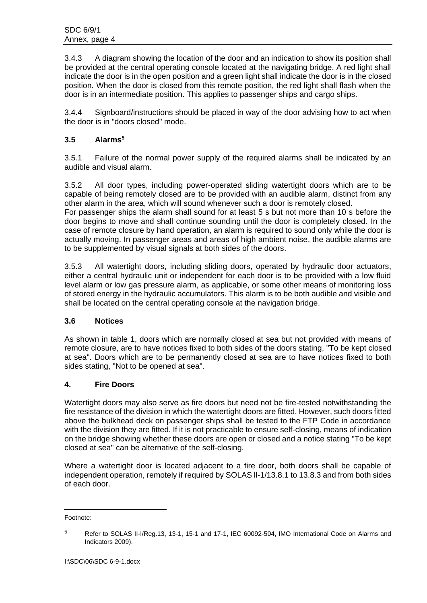3.4.3 A diagram showing the location of the door and an indication to show its position shall be provided at the central operating console located at the navigating bridge. A red light shall indicate the door is in the open position and a green light shall indicate the door is in the closed position. When the door is closed from this remote position, the red light shall flash when the door is in an intermediate position. This applies to passenger ships and cargo ships.

3.4.4 Signboard/instructions should be placed in way of the door advising how to act when the door is in "doors closed" mode.

# **3.5 Alarms<sup>5</sup>**

3.5.1 Failure of the normal power supply of the required alarms shall be indicated by an audible and visual alarm.

3.5.2 All door types, including power-operated sliding watertight doors which are to be capable of being remotely closed are to be provided with an audible alarm, distinct from any other alarm in the area, which will sound whenever such a door is remotely closed. For passenger ships the alarm shall sound for at least 5 s but not more than 10 s before the door begins to move and shall continue sounding until the door is completely closed. In the case of remote closure by hand operation, an alarm is required to sound only while the door is actually moving. In passenger areas and areas of high ambient noise, the audible alarms are to be supplemented by visual signals at both sides of the doors.

3.5.3 All watertight doors, including sliding doors, operated by hydraulic door actuators, either a central hydraulic unit or independent for each door is to be provided with a low fluid level alarm or low gas pressure alarm, as applicable, or some other means of monitoring loss of stored energy in the hydraulic accumulators. This alarm is to be both audible and visible and shall be located on the central operating console at the navigation bridge.

# **3.6 Notices**

As shown in table 1, doors which are normally closed at sea but not provided with means of remote closure, are to have notices fixed to both sides of the doors stating, "To be kept closed at sea". Doors which are to be permanently closed at sea are to have notices fixed to both sides stating, "Not to be opened at sea".

#### **4. Fire Doors**

Watertight doors may also serve as fire doors but need not be fire-tested notwithstanding the fire resistance of the division in which the watertight doors are fitted. However, such doors fitted above the bulkhead deck on passenger ships shall be tested to the FTP Code in accordance with the division they are fitted. If it is not practicable to ensure self-closing, means of indication on the bridge showing whether these doors are open or closed and a notice stating "To be kept closed at sea" can be alternative of the self-closing.

Where a watertight door is located adjacent to a fire door, both doors shall be capable of independent operation, remotely if required by SOLAS ll-1/13.8.1 to 13.8.3 and from both sides of each door.

Footnote:

<sup>5</sup> Refer to SOLAS II-I/Reg.13, 13-1, 15-1 and 17-1, IEC 60092-504, IMO International Code on Alarms and Indicators 2009).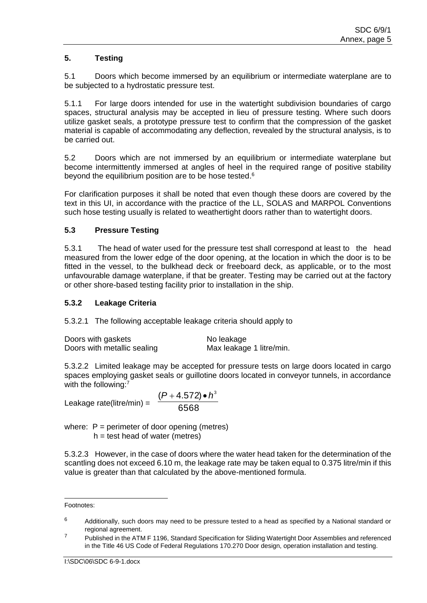# **5. Testing**

5.1 Doors which become immersed by an equilibrium or intermediate waterplane are to be subjected to a hydrostatic pressure test.

5.1.1 For large doors intended for use in the watertight subdivision boundaries of cargo spaces, structural analysis may be accepted in lieu of pressure testing. Where such doors utilize gasket seals, a prototype pressure test to confirm that the compression of the gasket material is capable of accommodating any deflection, revealed by the structural analysis, is to be carried out.

5.2 Doors which are not immersed by an equilibrium or intermediate waterplane but become intermittently immersed at angles of heel in the required range of positive stability beyond the equilibrium position are to be hose tested.<sup>6</sup>

For clarification purposes it shall be noted that even though these doors are covered by the text in this UI, in accordance with the practice of the LL, SOLAS and MARPOL Conventions such hose testing usually is related to weathertight doors rather than to watertight doors.

# **5.3 Pressure Testing**

5.3.1 The head of water used for the pressure test shall correspond at least to the head measured from the lower edge of the door opening, at the location in which the door is to be fitted in the vessel, to the bulkhead deck or freeboard deck, as applicable, or to the most unfavourable damage waterplane, if that be greater. Testing may be carried out at the factory or other shore-based testing facility prior to installation in the ship.

#### **5.3.2 Leakage Criteria**

5.3.2.1 The following acceptable leakage criteria should apply to

| Doors with gaskets          | No leakage               |
|-----------------------------|--------------------------|
| Doors with metallic sealing | Max leakage 1 litre/min. |

5.3.2.2 Limited leakage may be accepted for pressure tests on large doors located in cargo spaces employing gasket seals or guillotine doors located in conveyor tunnels, in accordance with the following:7

Leakage rate(litre/min) =

$$
\frac{(P+4.572)\bullet h^3}{6568}
$$

where:  $P =$  perimeter of door opening (metres)  $h =$  test head of water (metres)

5.3.2.3 However, in the case of doors where the water head taken for the determination of the scantling does not exceed 6.10 m, the leakage rate may be taken equal to 0.375 litre/min if this value is greater than that calculated by the above-mentioned formula.

 Footnotes:

 $6$  Additionally, such doors may need to be pressure tested to a head as specified by a National standard or regional agreement.

<sup>&</sup>lt;sup>7</sup> Published in the ATM F 1196, Standard Specification for Sliding Watertight Door Assemblies and referenced in the Title 46 US Code of Federal Regulations 170.270 Door design, operation installation and testing.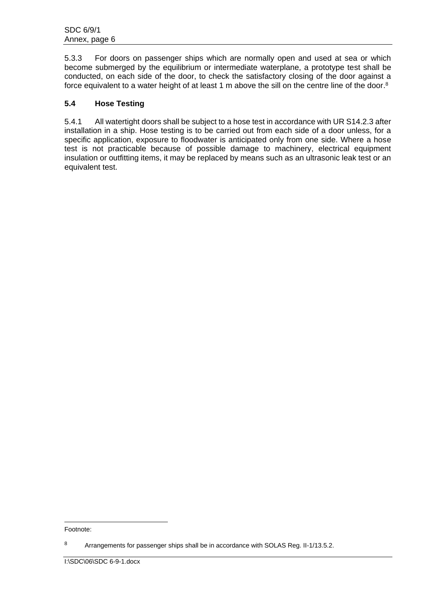5.3.3 For doors on passenger ships which are normally open and used at sea or which become submerged by the equilibrium or intermediate waterplane, a prototype test shall be conducted, on each side of the door, to check the satisfactory closing of the door against a force equivalent to a water height of at least 1 m above the sill on the centre line of the door.<sup>8</sup>

# **5.4 Hose Testing**

5.4.1 All watertight doors shall be subject to a hose test in accordance with UR S14.2.3 after installation in a ship. Hose testing is to be carried out from each side of a door unless, for a specific application, exposure to floodwater is anticipated only from one side. Where a hose test is not practicable because of possible damage to machinery, electrical equipment insulation or outfitting items, it may be replaced by means such as an ultrasonic leak test or an equivalent test.

Footnote:

<sup>8</sup> Arrangements for passenger ships shall be in accordance with SOLAS Reg. II-1/13.5.2.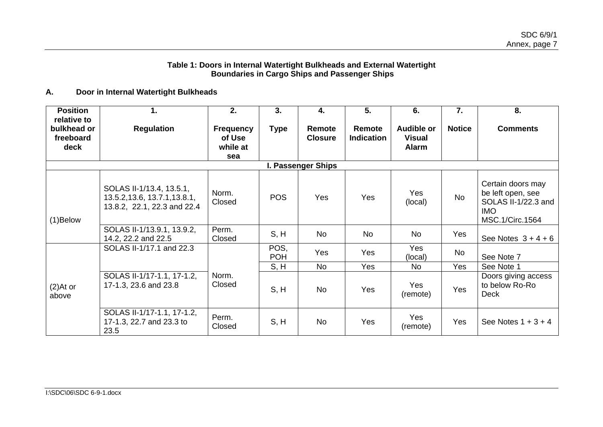#### **Table 1: Doors in Internal Watertight Bulkheads and External Watertight Boundaries in Cargo Ships and Passenger Ships**

## **A. Door in Internal Watertight Bulkheads**

| <b>Position</b>                                 | 1.                                                                                       | 2.                                            | 3.                 | 4.                       | 5.                          | 6.                                          | 7.            | 8.                                                                                             |
|-------------------------------------------------|------------------------------------------------------------------------------------------|-----------------------------------------------|--------------------|--------------------------|-----------------------------|---------------------------------------------|---------------|------------------------------------------------------------------------------------------------|
| relative to<br>bulkhead or<br>freeboard<br>deck | <b>Regulation</b>                                                                        | <b>Frequency</b><br>of Use<br>while at<br>sea | <b>Type</b>        | Remote<br><b>Closure</b> | Remote<br><b>Indication</b> | <b>Audible or</b><br><b>Visual</b><br>Alarm | <b>Notice</b> | <b>Comments</b>                                                                                |
|                                                 |                                                                                          |                                               |                    | I. Passenger Ships       |                             |                                             |               |                                                                                                |
| $(1)$ Below                                     | SOLAS II-1/13.4, 13.5.1,<br>13.5.2, 13.6, 13.7.1, 13.8.1,<br>13.8.2, 22.1, 22.3 and 22.4 | Norm.<br>Closed                               | <b>POS</b>         | Yes                      | Yes                         | Yes<br>(local)                              | No            | Certain doors may<br>be left open, see<br>SOLAS II-1/22.3 and<br><b>IMO</b><br>MSC.1/Circ.1564 |
|                                                 | SOLAS II-1/13.9.1, 13.9.2,<br>14.2, 22.2 and 22.5                                        | Perm.<br>Closed                               | S, H               | <b>No</b>                | <b>No</b>                   | <b>No</b>                                   | Yes           | See Notes $3+4+6$                                                                              |
|                                                 | SOLAS II-1/17.1 and 22.3                                                                 |                                               | POS,<br><b>POH</b> | Yes                      | Yes                         | Yes<br>(local)                              | No            | See Note 7                                                                                     |
|                                                 |                                                                                          |                                               | S, H               | <b>No</b>                | Yes                         | <b>No</b>                                   | Yes           | See Note 1                                                                                     |
| $(2)$ At or<br>above                            | SOLAS II-1/17-1.1, 17-1.2,<br>17-1.3, 23.6 and 23.8                                      | Norm.<br>Closed                               | S, H               | <b>No</b>                | Yes                         | Yes<br>(remote)                             | Yes           | Doors giving access<br>to below Ro-Ro<br><b>Deck</b>                                           |
|                                                 | SOLAS II-1/17-1.1, 17-1.2,<br>17-1.3, 22.7 and 23.3 to<br>23.5                           | Perm.<br>Closed                               | S, H               | No                       | Yes                         | Yes<br>(remote)                             | Yes           | See Notes $1 + 3 + 4$                                                                          |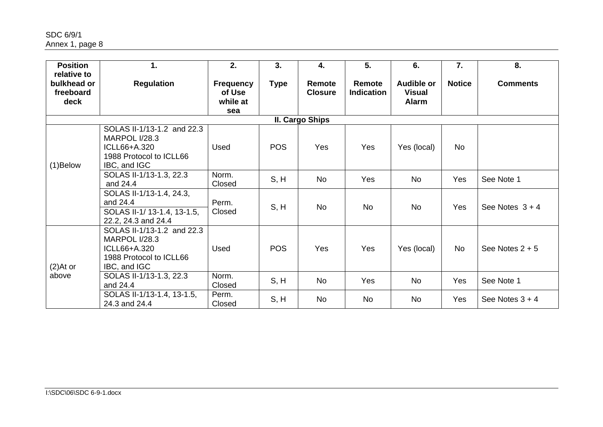SDC 6/9/1 Annex 1, page 8

| <b>Position</b>                                 | 1.                                                                                                            | 2.                                            | 3.          | 4.                       | 5.                          | 6.                                          | $\overline{7}$ . | 8.                |
|-------------------------------------------------|---------------------------------------------------------------------------------------------------------------|-----------------------------------------------|-------------|--------------------------|-----------------------------|---------------------------------------------|------------------|-------------------|
| relative to<br>bulkhead or<br>freeboard<br>deck | <b>Regulation</b>                                                                                             | <b>Frequency</b><br>of Use<br>while at<br>sea | <b>Type</b> | Remote<br><b>Closure</b> | Remote<br><b>Indication</b> | Audible or<br><b>Visual</b><br><b>Alarm</b> | <b>Notice</b>    | <b>Comments</b>   |
|                                                 |                                                                                                               |                                               |             | II. Cargo Ships          |                             |                                             |                  |                   |
| $(1)$ Below                                     | SOLAS II-1/13-1.2 and 22.3<br><b>MARPOL I/28.3</b><br>ICLL66+A.320<br>1988 Protocol to ICLL66<br>IBC, and IGC | Used                                          | <b>POS</b>  | Yes                      | Yes                         | Yes (local)                                 | <b>No</b>        |                   |
|                                                 | SOLAS II-1/13-1.3, 22.3<br>and 24.4                                                                           | Norm.<br>Closed                               | S, H        | No                       | Yes                         | <b>No</b>                                   | Yes              | See Note 1        |
|                                                 | SOLAS II-1/13-1.4, 24.3,<br>and 24.4<br>SOLAS II-1/13-1.4, 13-1.5,<br>22.2, 24.3 and 24.4                     | Perm.<br>Closed                               | S, H        | <b>No</b>                | <b>No</b>                   | <b>No</b>                                   | Yes              | See Notes $3 + 4$ |
| $(2)$ At or                                     | SOLAS II-1/13-1.2 and 22.3<br><b>MARPOL I/28.3</b><br>ICLL66+A.320<br>1988 Protocol to ICLL66<br>IBC, and IGC | Used                                          | <b>POS</b>  | Yes                      | Yes                         | Yes (local)                                 | No               | See Notes $2 + 5$ |
| above                                           | SOLAS II-1/13-1.3, 22.3<br>and 24.4                                                                           | Norm.<br>Closed                               | S, H        | <b>No</b>                | Yes                         | <b>No</b>                                   | Yes              | See Note 1        |
|                                                 | SOLAS II-1/13-1.4, 13-1.5,<br>24.3 and 24.4                                                                   | Perm.<br>Closed                               | S, H        | No                       | <b>No</b>                   | No                                          | Yes              | See Notes $3 + 4$ |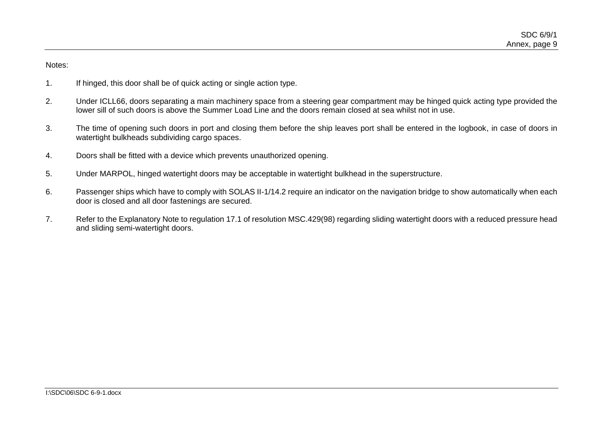Notes:

- 1. If hinged, this door shall be of quick acting or single action type.
- 2. Under ICLL66, doors separating a main machinery space from a steering gear compartment may be hinged quick acting type provided the lower sill of such doors is above the Summer Load Line and the doors remain closed at sea whilst not in use.
- 3. The time of opening such doors in port and closing them before the ship leaves port shall be entered in the logbook, in case of doors in watertight bulkheads subdividing cargo spaces.
- 4. Doors shall be fitted with a device which prevents unauthorized opening.
- 5. Under MARPOL, hinged watertight doors may be acceptable in watertight bulkhead in the superstructure.
- 6. Passenger ships which have to comply with SOLAS II-1/14.2 require an indicator on the navigation bridge to show automatically when each door is closed and all door fastenings are secured.
- 7. Refer to the Explanatory Note to regulation 17.1 of resolution MSC.429(98) regarding sliding watertight doors with a reduced pressure head and sliding semi-watertight doors.